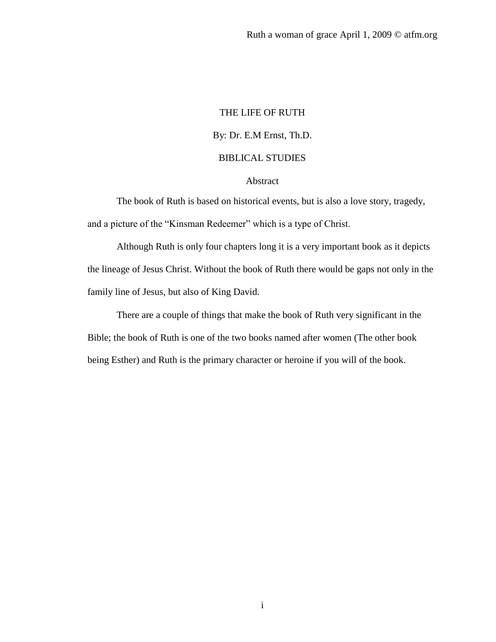# THE LIFE OF RUTH By: Dr. E.M Ernst, Th.D. BIBLICAL STUDIES

### Abstract

The book of Ruth is based on historical events, but is also a love story, tragedy, and a picture of the "Kinsman Redeemer" which is a type of Christ.

Although Ruth is only four chapters long it is a very important book as it depicts the lineage of Jesus Christ. Without the book of Ruth there would be gaps not only in the family line of Jesus, but also of King David.

There are a couple of things that make the book of Ruth very significant in the Bible; the book of Ruth is one of the two books named after women (The other book being Esther) and Ruth is the primary character or heroine if you will of the book.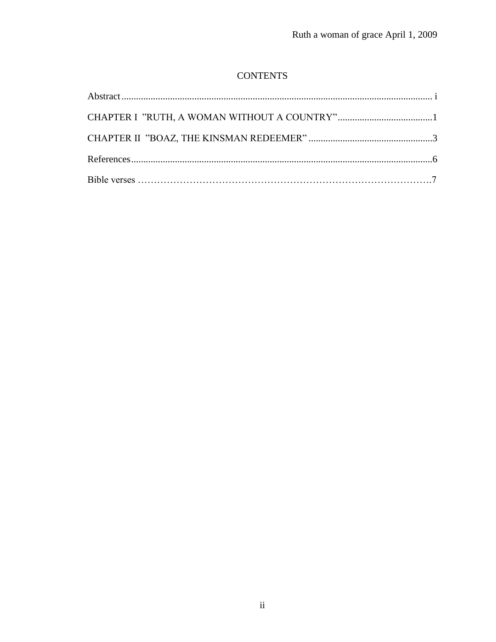## **CONTENTS**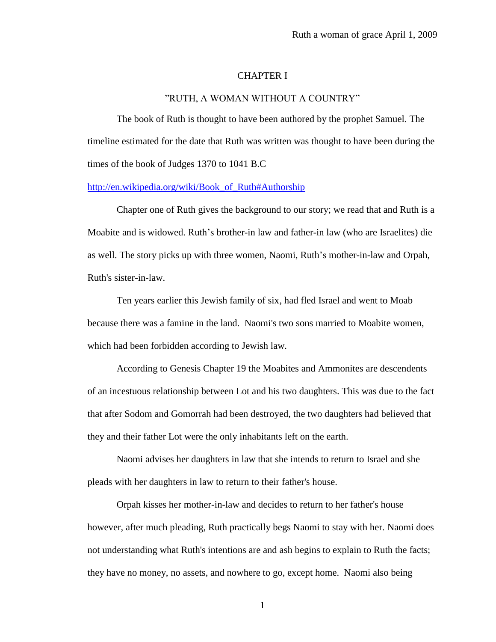#### CHAPTER I

#### "RUTH, A WOMAN WITHOUT A COUNTRY"

The book of Ruth is thought to have been authored by the prophet Samuel. The timeline estimated for the date that Ruth was written was thought to have been during the times of the book of Judges 1370 to 1041 B.C

#### [http://en.wikipedia.org/wiki/Book\\_of\\_Ruth#Authorship](http://en.wikipedia.org/wiki/Book_of_Ruth%23Authorship)

Chapter one of Ruth gives the background to our story; we read that and Ruth is a Moabite and is widowed. Ruth's brother-in law and father-in law (who are Israelites) die as well. The story picks up with three women, Naomi, Ruth's mother-in-law and Orpah, Ruth's sister-in-law.

Ten years earlier this Jewish family of six, had fled Israel and went to Moab because there was a famine in the land. Naomi's two sons married to Moabite women, which had been forbidden according to Jewish law*.* 

According to Genesis Chapter 19 the Moabites and Ammonites are descendents of an incestuous relationship between Lot and his two daughters. This was due to the fact that after Sodom and Gomorrah had been destroyed, the two daughters had believed that they and their father Lot were the only inhabitants left on the earth.

Naomi advises her daughters in law that she intends to return to Israel and she pleads with her daughters in law to return to their father's house.

Orpah kisses her mother-in-law and decides to return to her father's house however, after much pleading, Ruth practically begs Naomi to stay with her. Naomi does not understanding what Ruth's intentions are and ash begins to explain to Ruth the facts; they have no money, no assets, and nowhere to go, except home. Naomi also being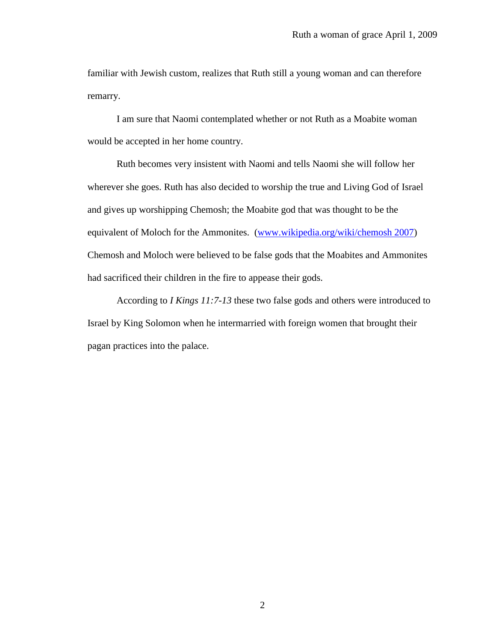familiar with Jewish custom, realizes that Ruth still a young woman and can therefore remarry.

I am sure that Naomi contemplated whether or not Ruth as a Moabite woman would be accepted in her home country.

Ruth becomes very insistent with Naomi and tells Naomi she will follow her wherever she goes. Ruth has also decided to worship the true and Living God of Israel and gives up worshipping Chemosh; the Moabite god that was thought to be the equivalent of Moloch for the Ammonites. [\(www.wikipedia.org/wiki/chemosh 2007\)](http://www.wikipedia.org/wiki/chemosh%202007) Chemosh and Moloch were believed to be false gods that the Moabites and Ammonites had sacrificed their children in the fire to appease their gods.

According to *I Kings 11:7-13* these two false gods and others were introduced to Israel by King Solomon when he intermarried with foreign women that brought their pagan practices into the palace.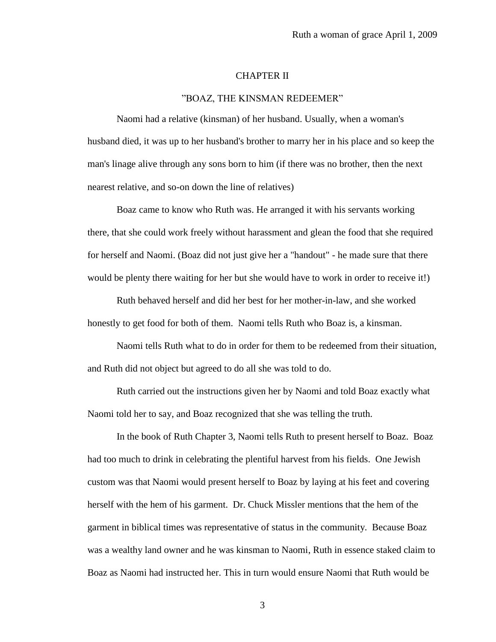#### CHAPTER II

#### "BOAZ, THE KINSMAN REDEEMER"

Naomi had a relative (kinsman) of her husband. Usually, when a woman's husband died, it was up to her husband's brother to marry her in his place and so keep the man's linage alive through any sons born to him (if there was no brother, then the next nearest relative, and so-on down the line of relatives)

 Boaz came to know who Ruth was. He arranged it with his servants working there, that she could work freely without harassment and glean the food that she required for herself and Naomi. (Boaz did not just give her a "handout" - he made sure that there would be plenty there waiting for her but she would have to work in order to receive it!)

Ruth behaved herself and did her best for her mother-in-law, and she worked honestly to get food for both of them. Naomi tells Ruth who Boaz is, a kinsman.

Naomi tells Ruth what to do in order for them to be redeemed from their situation, and Ruth did not object but agreed to do all she was told to do.

Ruth carried out the instructions given her by Naomi and told Boaz exactly what Naomi told her to say, and Boaz recognized that she was telling the truth.

In the book of Ruth Chapter 3, Naomi tells Ruth to present herself to Boaz. Boaz had too much to drink in celebrating the plentiful harvest from his fields. One Jewish custom was that Naomi would present herself to Boaz by laying at his feet and covering herself with the hem of his garment. Dr. Chuck Missler mentions that the hem of the garment in biblical times was representative of status in the community. Because Boaz was a wealthy land owner and he was kinsman to Naomi, Ruth in essence staked claim to Boaz as Naomi had instructed her. This in turn would ensure Naomi that Ruth would be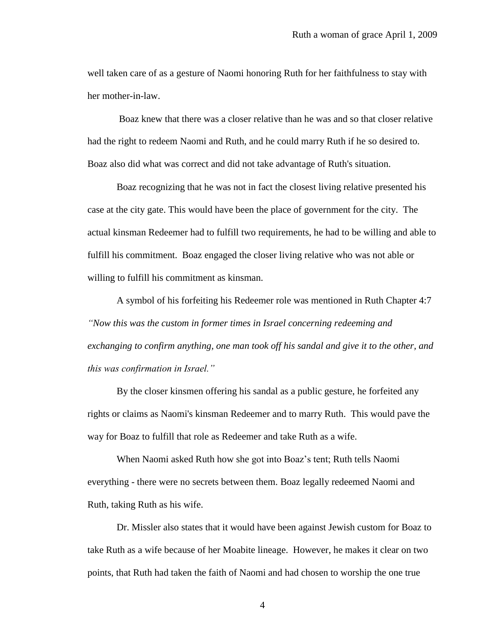well taken care of as a gesture of Naomi honoring Ruth for her faithfulness to stay with her mother-in-law.

Boaz knew that there was a closer relative than he was and so that closer relative had the right to redeem Naomi and Ruth, and he could marry Ruth if he so desired to. Boaz also did what was correct and did not take advantage of Ruth's situation.

Boaz recognizing that he was not in fact the closest living relative presented his case at the city gate. This would have been the place of government for the city. The actual kinsman Redeemer had to fulfill two requirements, he had to be willing and able to fulfill his commitment. Boaz engaged the closer living relative who was not able or willing to fulfill his commitment as kinsman.

A symbol of his forfeiting his Redeemer role was mentioned in Ruth Chapter 4:7 *"Now this was the custom in former times in Israel concerning redeeming and exchanging to confirm anything, one man took off his sandal and give it to the other, and this was confirmation in Israel."* 

By the closer kinsmen offering his sandal as a public gesture, he forfeited any rights or claims as Naomi's kinsman Redeemer and to marry Ruth. This would pave the way for Boaz to fulfill that role as Redeemer and take Ruth as a wife.

When Naomi asked Ruth how she got into Boaz's tent; Ruth tells Naomi everything - there were no secrets between them. Boaz legally redeemed Naomi and Ruth, taking Ruth as his wife.

Dr. Missler also states that it would have been against Jewish custom for Boaz to take Ruth as a wife because of her Moabite lineage. However, he makes it clear on two points, that Ruth had taken the faith of Naomi and had chosen to worship the one true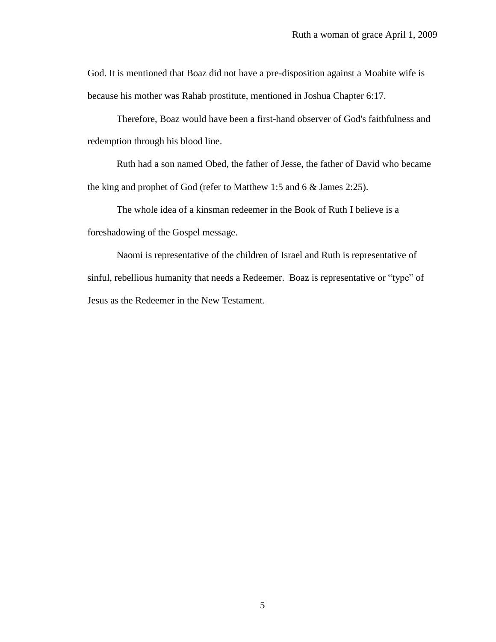God. It is mentioned that Boaz did not have a pre-disposition against a Moabite wife is because his mother was Rahab prostitute, mentioned in Joshua Chapter 6:17.

Therefore, Boaz would have been a first-hand observer of God's faithfulness and redemption through his blood line.

Ruth had a son named Obed, the father of Jesse, the father of David who became the king and prophet of God (refer to Matthew 1:5 and 6 & James 2:25).

The whole idea of a kinsman redeemer in the Book of Ruth I believe is a foreshadowing of the Gospel message.

Naomi is representative of the children of Israel and Ruth is representative of sinful, rebellious humanity that needs a Redeemer. Boaz is representative or "type" of Jesus as the Redeemer in the New Testament.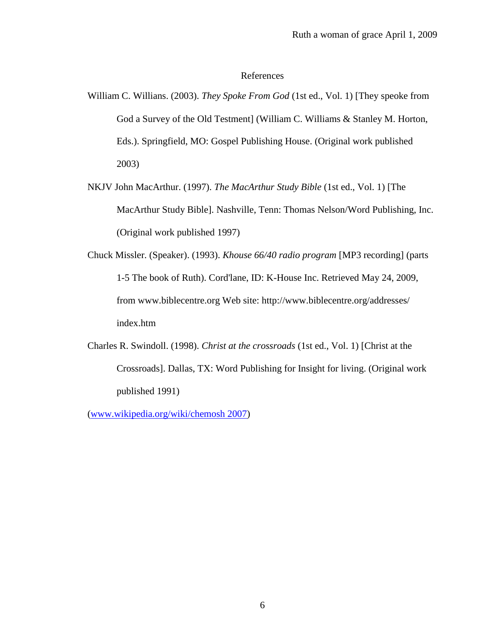#### References

- William C. Willians. (2003). *They Spoke From God* (1st ed., Vol. 1) [They speoke from God a Survey of the Old Testment] (William C. Williams & Stanley M. Horton, Eds.). Springfield, MO: Gospel Publishing House. (Original work published 2003)
- NKJV John MacArthur. (1997). *The MacArthur Study Bible* (1st ed., Vol. 1) [The MacArthur Study Bible]. Nashville, Tenn: Thomas Nelson/Word Publishing, Inc. (Original work published 1997)
- Chuck Missler. (Speaker). (1993). *Khouse 66/40 radio program* [MP3 recording] (parts 1-5 The book of Ruth). Cord'lane, ID: K-House Inc. Retrieved May 24, 2009, from www.biblecentre.org Web site: http://www.biblecentre.org/addresses/ index.htm
- Charles R. Swindoll. (1998). *Christ at the crossroads* (1st ed., Vol. 1) [Christ at the Crossroads]. Dallas, TX: Word Publishing for Insight for living. (Original work published 1991)

[\(www.wikipedia.org/wiki/chemosh 2007\)](http://www.wikipedia.org/wiki/chemosh%202007)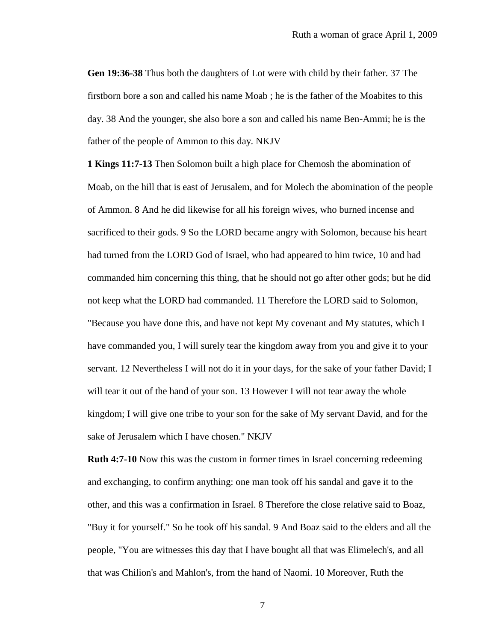**Gen 19:36-38** Thus both the daughters of Lot were with child by their father. 37 The firstborn bore a son and called his name Moab ; he is the father of the Moabites to this day. 38 And the younger, she also bore a son and called his name Ben-Ammi; he is the father of the people of Ammon to this day. NKJV

**1 Kings 11:7-13** Then Solomon built a high place for Chemosh the abomination of Moab, on the hill that is east of Jerusalem, and for Molech the abomination of the people of Ammon. 8 And he did likewise for all his foreign wives, who burned incense and sacrificed to their gods. 9 So the LORD became angry with Solomon, because his heart had turned from the LORD God of Israel, who had appeared to him twice, 10 and had commanded him concerning this thing, that he should not go after other gods; but he did not keep what the LORD had commanded. 11 Therefore the LORD said to Solomon, "Because you have done this, and have not kept My covenant and My statutes, which I have commanded you, I will surely tear the kingdom away from you and give it to your servant. 12 Nevertheless I will not do it in your days, for the sake of your father David; I will tear it out of the hand of your son. 13 However I will not tear away the whole kingdom; I will give one tribe to your son for the sake of My servant David, and for the sake of Jerusalem which I have chosen." NKJV

**Ruth 4:7-10** Now this was the custom in former times in Israel concerning redeeming and exchanging, to confirm anything: one man took off his sandal and gave it to the other, and this was a confirmation in Israel. 8 Therefore the close relative said to Boaz, "Buy it for yourself." So he took off his sandal. 9 And Boaz said to the elders and all the people, "You are witnesses this day that I have bought all that was Elimelech's, and all that was Chilion's and Mahlon's, from the hand of Naomi. 10 Moreover, Ruth the